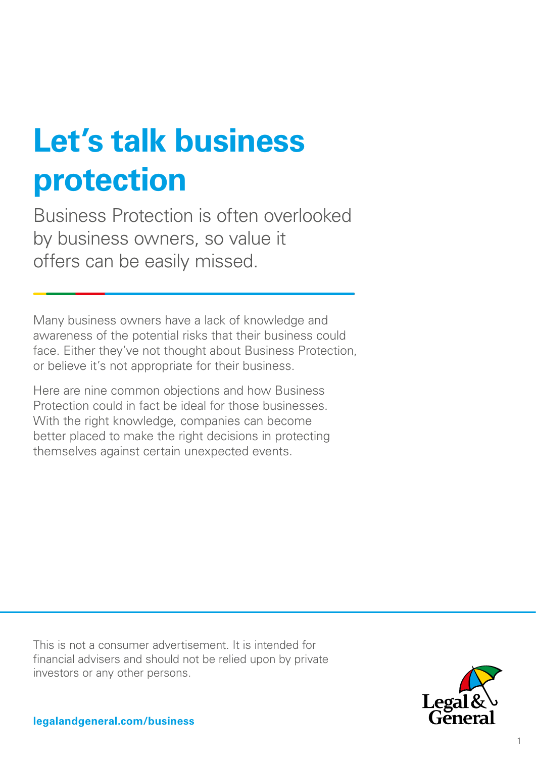# **Let's talk business protection**

Business Protection is often overlooked by business owners, so value it offers can be easily missed.

Many business owners have a lack of knowledge and awareness of the potential risks that their business could face. Either they've not thought about Business Protection, or believe it's not appropriate for their business.

Here are nine common objections and how Business Protection could in fact be ideal for those businesses. With the right knowledge, companies can become better placed to make the right decisions in protecting themselves against certain unexpected events.

This is not a consumer advertisement. It is intended for financial advisers and should not be relied upon by private investors or any other persons.



**legalandgeneral.com/business**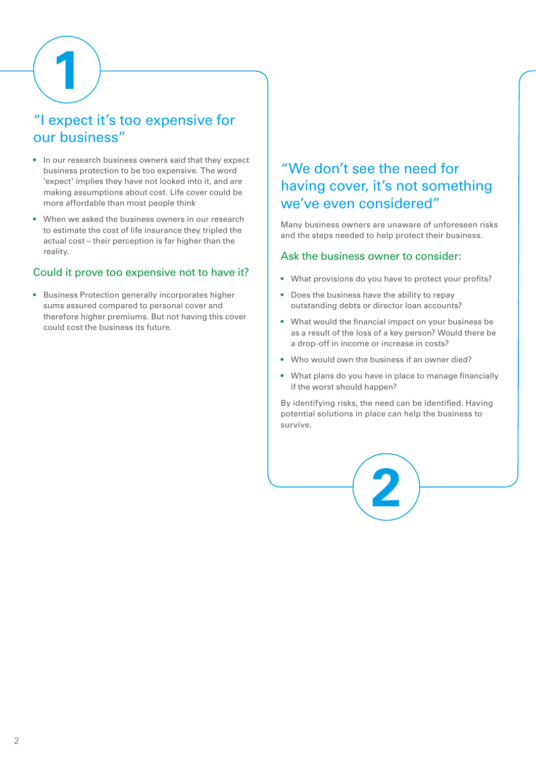**1**

# "I expect it's too expensive for our business"

- In our research business owners said that they expect business protection to be too expensive. The word 'expect' implies they have not looked into it, and are making assumptions about cost. Life cover could be more affordable than most people think
- When we asked the business owners in our research to estimate the cost of life insurance they tripled the actual cost – their perception is far higher than the reality.

## Could it prove too expensive not to have it?

• Business Protection generally incorporates higher sums assured compared to personal cover and therefore higher premiums. But not having this cover could cost the business its future.

## "We don't see the need for having cover, it's not something we've even considered"

Many business owners are unaware of unforeseen risks and the steps needed to help protect their business.

#### Ask the business owner to consider:

- What provisions do you have to protect your profits?
- Does the business have the ability to repay outstanding debts or director loan accounts?
- What would the financial impact on your business be as a result of the loss of a key person? Would there be a drop-off in income or increase in costs?
- Who would own the business if an owner died?
- What plans do you have in place to manage financially if the worst should happen?

By identifying risks, the need can be identified. Having potential solutions in place can help the business to survive.

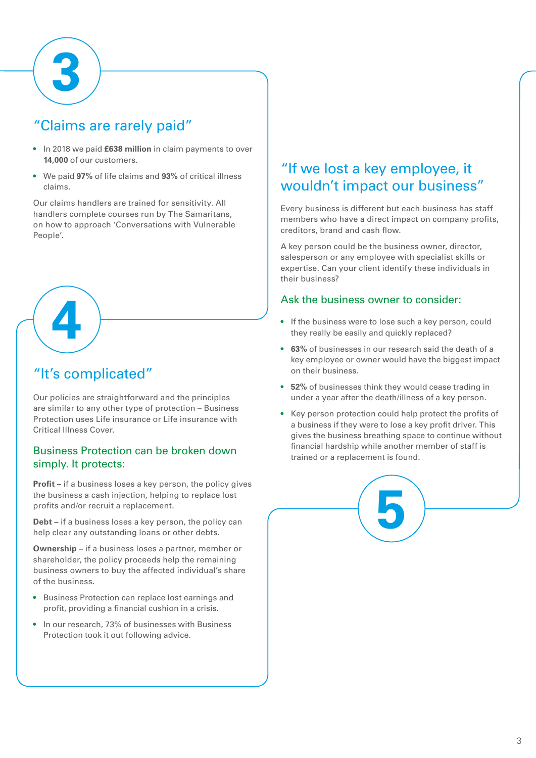

# "Claims are rarely paid"

- In 2018 we paid **£638 million** in claim payments to over **14,000** of our customers.
- We paid **97%** of life claims and **93%** of critical illness claims.

Our claims handlers are trained for sensitivity. All handlers complete courses run by The Samaritans, on how to approach 'Conversations with Vulnerable People'.

# "It's complicated"

**4**

Our policies are straightforward and the principles are similar to any other type of protection – Business Protection uses Life insurance or Life insurance with Critical Illness Cover.

## Business Protection can be broken down simply. It protects:

**Profit –** if a business loses a key person, the policy gives the business a cash injection, helping to replace lost profits and/or recruit a replacement.

**Debt –** if a business loses a key person, the policy can help clear any outstanding loans or other debts.

**Ownership –** if a business loses a partner, member or shareholder, the policy proceeds help the remaining business owners to buy the affected individual's share of the business.

- Business Protection can replace lost earnings and profit, providing a financial cushion in a crisis.
- In our research, 73% of businesses with Business Protection took it out following advice.

# "If we lost a key employee, it wouldn't impact our business"

Every business is different but each business has staff members who have a direct impact on company profits, creditors, brand and cash flow.

A key person could be the business owner, director, salesperson or any employee with specialist skills or expertise. Can your client identify these individuals in their business?

## Ask the business owner to consider:

- If the business were to lose such a key person, could they really be easily and quickly replaced?
- **63%** of businesses in our research said the death of a key employee or owner would have the biggest impact on their business.
- **52%** of businesses think they would cease trading in under a year after the death/illness of a key person.
- Key person protection could help protect the profits of a business if they were to lose a key profit driver. This gives the business breathing space to continue without financial hardship while another member of staff is trained or a replacement is found.

**5**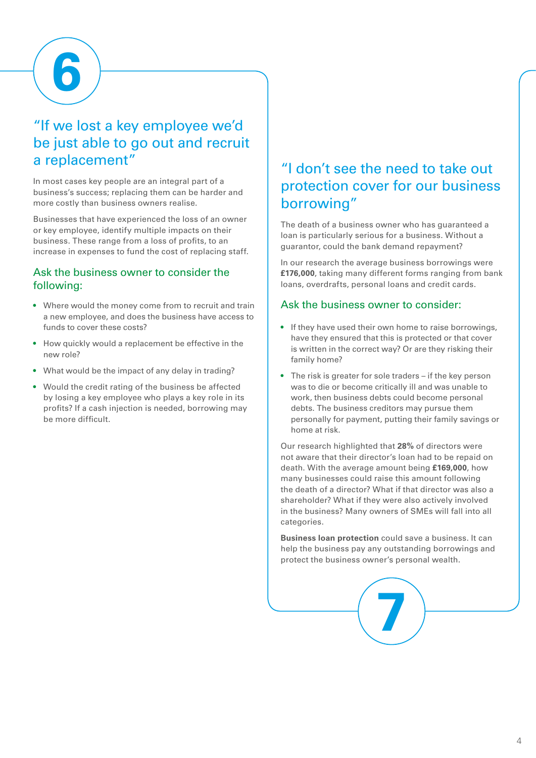**6**

# "If we lost a key employee we'd be just able to go out and recruit a replacement"

In most cases key people are an integral part of a business's success; replacing them can be harder and more costly than business owners realise.

Businesses that have experienced the loss of an owner or key employee, identify multiple impacts on their business. These range from a loss of profits, to an increase in expenses to fund the cost of replacing staff.

## Ask the business owner to consider the following:

- Where would the money come from to recruit and train a new employee, and does the business have access to funds to cover these costs?
- How quickly would a replacement be effective in the new role?
- What would be the impact of any delay in trading?
- Would the credit rating of the business be affected by losing a key employee who plays a key role in its profits? If a cash injection is needed, borrowing may be more difficult.

## "I don't see the need to take out protection cover for our business borrowing"

The death of a business owner who has guaranteed a loan is particularly serious for a business. Without a guarantor, could the bank demand repayment?

In our research the average business borrowings were **£176,000**, taking many different forms ranging from bank loans, overdrafts, personal loans and credit cards.

## Ask the business owner to consider:

- If they have used their own home to raise borrowings, have they ensured that this is protected or that cover is written in the correct way? Or are they risking their family home?
- The risk is greater for sole traders if the key person was to die or become critically ill and was unable to work, then business debts could become personal debts. The business creditors may pursue them personally for payment, putting their family savings or home at risk.

Our research highlighted that **28%** of directors were not aware that their director's loan had to be repaid on death. With the average amount being **£169,000**, how many businesses could raise this amount following the death of a director? What if that director was also a shareholder? What if they were also actively involved in the business? Many owners of SMEs will fall into all categories.

**Business loan protection** could save a business. It can help the business pay any outstanding borrowings and protect the business owner's personal wealth.

**7**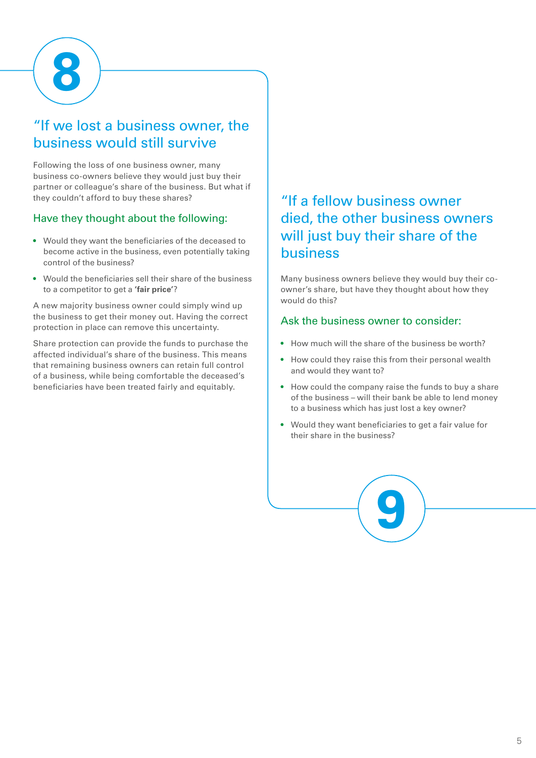

# "If we lost a business owner, the business would still survive

Following the loss of one business owner, many business co-owners believe they would just buy their partner or colleague's share of the business. But what if they couldn't afford to buy these shares?

## Have they thought about the following:

- Would they want the beneficiaries of the deceased to become active in the business, even potentially taking control of the business?
- Would the beneficiaries sell their share of the business to a competitor to get a **'fair price'**?

A new majority business owner could simply wind up the business to get their money out. Having the correct protection in place can remove this uncertainty.

Share protection can provide the funds to purchase the affected individual's share of the business. This means that remaining business owners can retain full control of a business, while being comfortable the deceased's beneficiaries have been treated fairly and equitably.

# "If a fellow business owner died, the other business owners will just buy their share of the business

Many business owners believe they would buy their coowner's share, but have they thought about how they would do this?

## Ask the business owner to consider:

- How much will the share of the business be worth?
- How could they raise this from their personal wealth and would they want to?
- How could the company raise the funds to buy a share of the business – will their bank be able to lend money to a business which has just lost a key owner?
- Would they want beneficiaries to get a fair value for their share in the business?